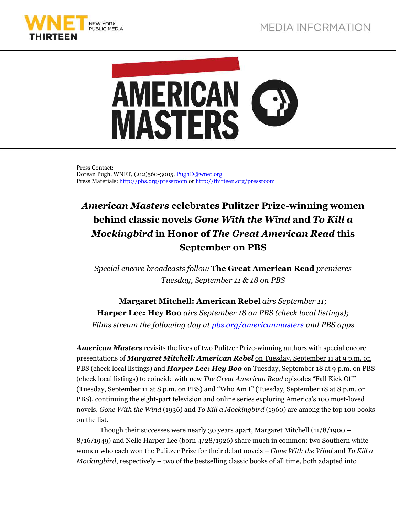



Press Contact: Dorean Pugh, WNET, (212)560-3005, PughD@wnet.org Press Materials: http://pbs.org/pressroom or http://thirteen.org/pressroom

## *American Masters* **celebrates Pulitzer Prize-winning women behind classic novels** *Gone With the Wind* **and** *To Kill a Mockingbird* **in Honor of** *The Great American Read* **this September on PBS**

*Special encore broadcasts follow* **The Great American Read** *premieres Tuesday, September 11 & 18 on PBS* 

**Margaret Mitchell: American Rebel** *airs September 11;*  **Harper Lee: Hey Boo** *airs September 18 on PBS (check local listings); Films stream the following day at pbs.org/americanmasters and PBS apps* 

*American Masters* revisits the lives of two Pulitzer Prize-winning authors with special encore presentations of *Margaret Mitchell: American Rebel* on Tuesday, September 11 at 9 p.m. on PBS (check local listings) and *Harper Lee: Hey Boo* on Tuesday, September 18 at 9 p.m. on PBS (check local listings) to coincide with new *The Great American Read* episodes "Fall Kick Off" (Tuesday, September 11 at 8 p.m. on PBS) and "Who Am I" (Tuesday, September 18 at 8 p.m. on PBS), continuing the eight-part television and online series exploring America's 100 most-loved novels. *Gone With the Wind* (1936) and *To Kill a Mockingbird* (1960) are among the top 100 books on the list.

Though their successes were nearly 30 years apart, Margaret Mitchell (11/8/1900 – 8/16/1949) and Nelle Harper Lee (born 4/28/1926) share much in common: two Southern white women who each won the Pulitzer Prize for their debut novels – *Gone With the Wind* and *To Kill a Mockingbird*, respectively – two of the bestselling classic books of all time, both adapted into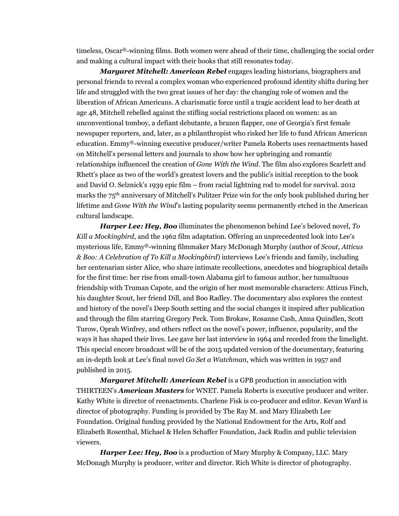timeless, Oscar®-winning films. Both women were ahead of their time, challenging the social order and making a cultural impact with their books that still resonates today.

 *Margaret Mitchell: American Rebel* engages leading historians, biographers and personal friends to reveal a complex woman who experienced profound identity shifts during her life and struggled with the two great issues of her day: the changing role of women and the liberation of African Americans. A charismatic force until a tragic accident lead to her death at age 48, Mitchell rebelled against the stifling social restrictions placed on women: as an unconventional tomboy, a defiant debutante, a brazen flapper, one of Georgia's first female newspaper reporters, and, later, as a philanthropist who risked her life to fund African American education. Emmy®-winning executive producer/writer Pamela Roberts uses reenactments based on Mitchell's personal letters and journals to show how her upbringing and romantic relationships influenced the creation of *Gone With the Wind*. The film also explores Scarlett and Rhett's place as two of the world's greatest lovers and the public's initial reception to the book and David O. Selznick's 1939 epic film – from racial lightning rod to model for survival. 2012 marks the 75th anniversary of Mitchell's Pulitzer Prize win for the only book published during her lifetime and *Gone With the Wind*'s lasting popularity seems permanently etched in the American cultural landscape.

*Harper Lee: Hey, Boo* illuminates the phenomenon behind Lee's beloved novel, *To Kill a Mockingbird*, and the 1962 film adaptation. Offering an unprecedented look into Lee's mysterious life, Emmy®-winning filmmaker Mary McDonagh Murphy (author of *Scout, Atticus & Boo: A Celebration of To Kill a Mockingbird*) interviews Lee's friends and family, including her centenarian sister Alice, who share intimate recollections, anecdotes and biographical details for the first time: her rise from small-town Alabama girl to famous author, her tumultuous friendship with Truman Capote, and the origin of her most memorable characters: Atticus Finch, his daughter Scout, her friend Dill, and Boo Radley. The documentary also explores the context and history of the novel's Deep South setting and the social changes it inspired after publication and through the film starring Gregory Peck. Tom Brokaw, Rosanne Cash, Anna Quindlen, Scott Turow, Oprah Winfrey, and others reflect on the novel's power, influence, popularity, and the ways it has shaped their lives. Lee gave her last interview in 1964 and receded from the limelight. This special encore broadcast will be of the 2015 updated version of the documentary, featuring an in-depth look at Lee's final novel *Go Set a Watchman*, which was written in 1957 and published in 2015.

*Margaret Mitchell: American Rebel* is a GPB production in association with THIRTEEN's *American Masters* for WNET. Pamela Roberts is executive producer and writer. Kathy White is director of reenactments. Charlene Fisk is co-producer and editor. Kevan Ward is director of photography. Funding is provided by The Ray M. and Mary Elizabeth Lee Foundation. Original funding provided by the National Endowment for the Arts, Rolf and Elizabeth Rosenthal, Michael & Helen Schaffer Foundation, Jack Rudin and public television viewers.

*Harper Lee: Hey, Boo* is a production of Mary Murphy & Company, LLC. Mary McDonagh Murphy is producer, writer and director. Rich White is director of photography.